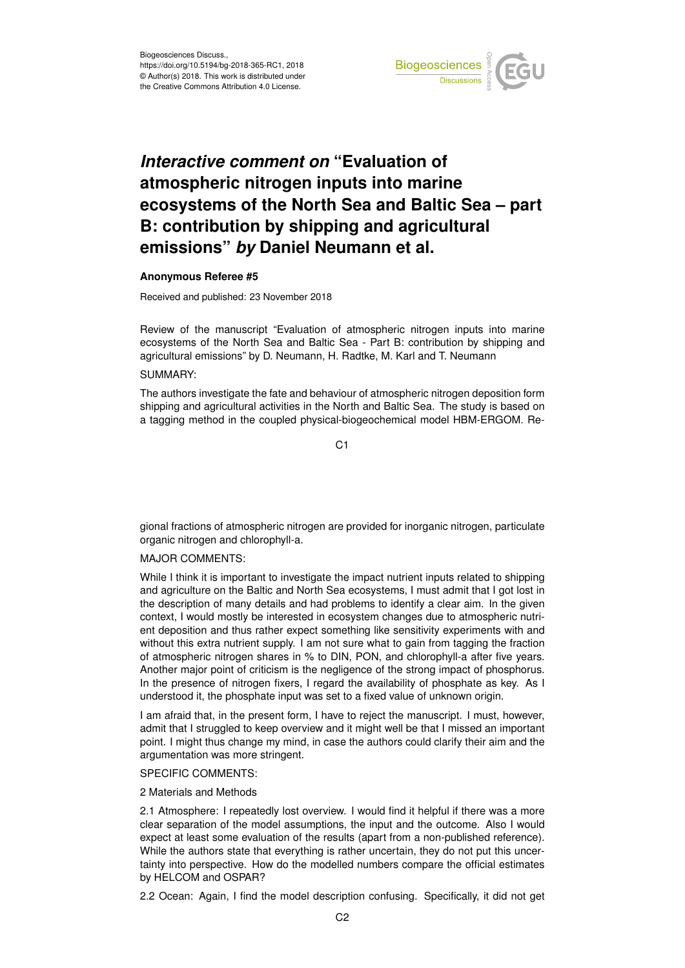

# *Interactive comment on* **"Evaluation of atmospheric nitrogen inputs into marine ecosystems of the North Sea and Baltic Sea – part B: contribution by shipping and agricultural emissions"** *by* **Daniel Neumann et al.**

#### **Anonymous Referee #5**

Received and published: 23 November 2018

Review of the manuscript "Evaluation of atmospheric nitrogen inputs into marine ecosystems of the North Sea and Baltic Sea - Part B: contribution by shipping and agricultural emissions" by D. Neumann, H. Radtke, M. Karl and T. Neumann

## SUMMARY:

The authors investigate the fate and behaviour of atmospheric nitrogen deposition form shipping and agricultural activities in the North and Baltic Sea. The study is based on a tagging method in the coupled physical-biogeochemical model HBM-ERGOM. Re-

 $C<sub>1</sub>$ 

gional fractions of atmospheric nitrogen are provided for inorganic nitrogen, particulate organic nitrogen and chlorophyll-a.

## MAJOR COMMENTS:

While I think it is important to investigate the impact nutrient inputs related to shipping and agriculture on the Baltic and North Sea ecosystems, I must admit that I got lost in the description of many details and had problems to identify a clear aim. In the given context, I would mostly be interested in ecosystem changes due to atmospheric nutrient deposition and thus rather expect something like sensitivity experiments with and without this extra nutrient supply. I am not sure what to gain from tagging the fraction of atmospheric nitrogen shares in % to DIN, PON, and chlorophyll-a after five years. Another major point of criticism is the negligence of the strong impact of phosphorus. In the presence of nitrogen fixers, I regard the availability of phosphate as key. As I understood it, the phosphate input was set to a fixed value of unknown origin.

I am afraid that, in the present form, I have to reject the manuscript. I must, however, admit that I struggled to keep overview and it might well be that I missed an important point. I might thus change my mind, in case the authors could clarify their aim and the argumentation was more stringent.

## SPECIFIC COMMENTS:

#### 2 Materials and Methods

2.1 Atmosphere: I repeatedly lost overview. I would find it helpful if there was a more clear separation of the model assumptions, the input and the outcome. Also I would expect at least some evaluation of the results (apart from a non-published reference). While the authors state that everything is rather uncertain, they do not put this uncertainty into perspective. How do the modelled numbers compare the official estimates by HELCOM and OSPAR?

2.2 Ocean: Again, I find the model description confusing. Specifically, it did not get